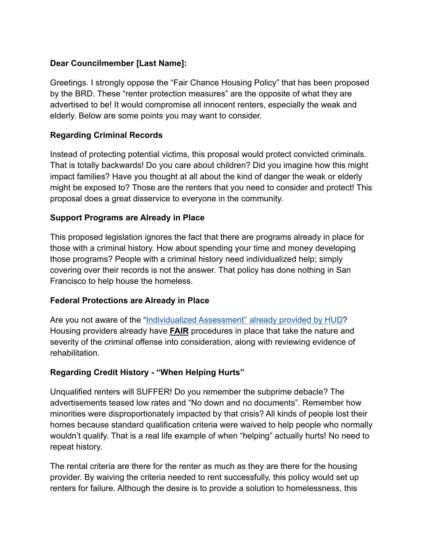#### **Dear Councilmember [Last Name]:**

Greetings. I strongly oppose the "Fair Chance Housing Policy" that has been proposed by the BRD. These "renter protection measures" are the opposite of what they are advertised to be! It would compromise all innocent renters, especially the weak and elderly. Below are some points you may want to consider.

### **Regarding Criminal Records**

Instead of protecting potential victims, this proposal would protect convicted criminals. That is totally backwards! Do you care about children? Did you imagine how this might impact families? Have you thought at all about the kind of danger the weak or elderly might be exposed to? Those are the renters that you need to consider and protect! This proposal does a great disservice to everyone in the community.

### **Support Programs are Already in Place**

This proposed legislation ignores the fact that there are programs already in place for those with a criminal history. How about spending your time and money developing those programs? People with a criminal history need individualized help; simply covering over their records is not the answer. That policy has done nothing in San Francisco to help house the homeless.

### **Federal Protections are Already in Place**

Are you not aware of the "[Individualized Assessment"](https://www.hud.gov/sites/documents/HUD_OGCGUIDAPPFHASTANDCR.PDF) already provided by HUD? Housing providers already have **FAIR** procedures in place that take the nature and severity of the criminal offense into consideration, along with reviewing evidence of rehabilitation.

### **Regarding Credit History - "When Helping Hurts"**

Unqualified renters will SUFFER! Do you remember the subprime debacle? The advertisements teased low rates and "No down and no documents". Remember how minorities were disproportionately impacted by that crisis? All kinds of people lost their homes because standard qualification criteria were waived to help people who normally wouldn't qualify. That is a real life example of when "helping" actually hurts! No need to repeat history.

The rental criteria are there for the renter as much as they are there for the housing provider. By waiving the criteria needed to rent successfully, this policy would set up renters for failure. Although the desire is to provide a solution to homelessness, this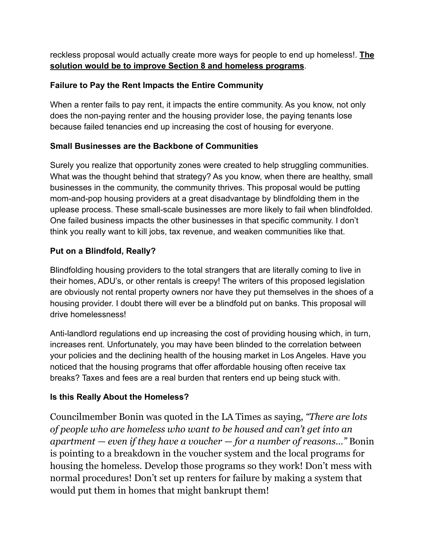reckless proposal would actually create more ways for people to end up homeless!. **The solution would be to improve Section 8 and homeless programs**.

## **Failure to Pay the Rent Impacts the Entire Community**

When a renter fails to pay rent, it impacts the entire community. As you know, not only does the non-paying renter and the housing provider lose, the paying tenants lose because failed tenancies end up increasing the cost of housing for everyone.

# **Small Businesses are the Backbone of Communities**

Surely you realize that opportunity zones were created to help struggling communities. What was the thought behind that strategy? As you know, when there are healthy, small businesses in the community, the community thrives. This proposal would be putting mom-and-pop housing providers at a great disadvantage by blindfolding them in the uplease process. These small-scale businesses are more likely to fail when blindfolded. One failed business impacts the other businesses in that specific community. I don't think you really want to kill jobs, tax revenue, and weaken communities like that.

# **Put on a Blindfold, Really?**

Blindfolding housing providers to the total strangers that are literally coming to live in their homes, ADU's, or other rentals is creepy! The writers of this proposed legislation are obviously not rental property owners nor have they put themselves in the shoes of a housing provider. I doubt there will ever be a blindfold put on banks. This proposal will drive homelessness!

Anti-landlord regulations end up increasing the cost of providing housing which, in turn, increases rent. Unfortunately, you may have been blinded to the correlation between your policies and the declining health of the housing market in Los Angeles. Have you noticed that the housing programs that offer affordable housing often receive tax breaks? Taxes and fees are a real burden that renters end up being stuck with.

# **Is this Really About the Homeless?**

Councilmember Bonin was quoted in the LA Times as saying, *"There are lots of people who are homeless who want to be housed and can't get into an apartment — even if they have a voucher — for a number of reasons…"* Bonin is pointing to a breakdown in the voucher system and the local programs for housing the homeless. Develop those programs so they work! Don't mess with normal procedures! Don't set up renters for failure by making a system that would put them in homes that might bankrupt them!